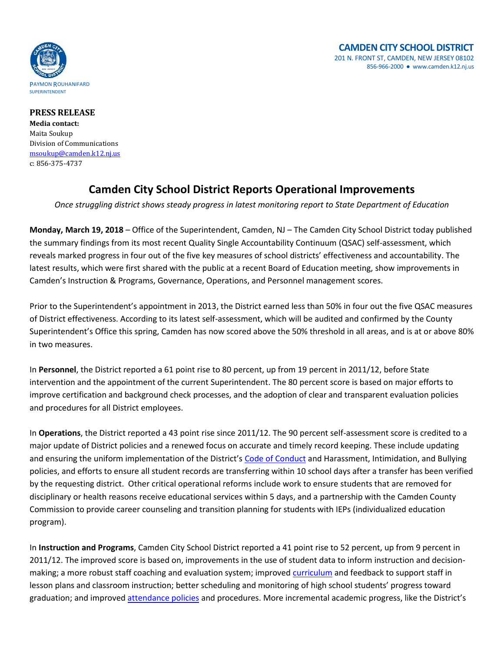

**PRESS RELEASE Media contact:** Maita Soukup Division of Communications [msoukup@camden.k12.nj.us](mailto:msoukup@camden.k12.nj.us) c: 856-375-4737

## **Camden City School District Reports Operational Improvements**

*Once struggling district shows steady progress in latest monitoring report to State Department of Education*

**Monday, March 19, 2018** – Office of the Superintendent, Camden, NJ – The Camden City School District today published the summary findings from its most recent Quality Single Accountability Continuum (QSAC) self-assessment, which reveals marked progress in four out of the five key measures of school districts' effectiveness and accountability. The latest results, which were first shared with the public at a recent Board of Education meeting, show improvements in Camden's Instruction & Programs, Governance, Operations, and Personnel management scores.

Prior to the Superintendent's appointment in 2013, the District earned less than 50% in four out the five QSAC measures of District effectiveness. According to its latest self-assessment, which will be audited and confirmed by the County Superintendent's Office this spring, Camden has now scored above the 50% threshold in all areas, and is at or above 80% in two measures.

In **Personnel**, the District reported a 61 point rise to 80 percent, up from 19 percent in 2011/12, before State intervention and the appointment of the current Superintendent. The 80 percent score is based on major efforts to improve certification and background check processes, and the adoption of clear and transparent evaluation policies and procedures for all District employees.

In **Operations**, the District reported a 43 point rise since 2011/12. The 90 percent self-assessment score is credited to a major update of District policies and a renewed focus on accurate and timely record keeping. These include updating and ensuring the uniform implementation of the District's [Code of Conduct](http://www.camden.k12.nj.us/divisions/division_of_student_support/student_code_of_conduct) and Harassment, Intimidation, and Bullying policies, and efforts to ensure all student records are transferring within 10 school days after a transfer has been verified by the requesting district. Other critical operational reforms include work to ensure students that are removed for disciplinary or health reasons receive educational services within 5 days, and a partnership with the Camden County Commission to provide career counseling and transition planning for students with IEPs (individualized education program).

In **Instruction and Programs**, Camden City School District reported a 41 point rise to 52 percent, up from 9 percent in 2011/12. The improved score is based on, improvements in the use of student data to inform instruction and decisionmaking; a more robust staff coaching and evaluation system; improve[d curriculum](http://camdencity.ss12.sharpschool.com/cms/One.aspx?portalId=340877&pageId=473120) and feedback to support staff in lesson plans and classroom instruction; better scheduling and monitoring of high school students' progress toward graduation; and improved [attendance policies](http://www.philly.com/philly/news/new_jersey/20160327_Camden_school_district_tries_personal_approach_to_decrease_truancy.html) and procedures. More incremental academic progress, like the District's